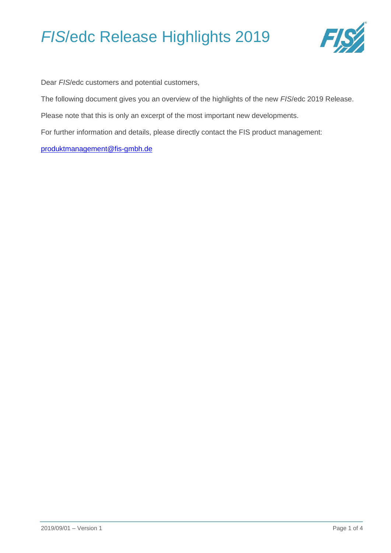

Dear *FIS*/edc customers and potential customers,

The following document gives you an overview of the highlights of the new *FIS*/edc 2019 Release.

Please note that this is only an excerpt of the most important new developments.

For further information and details, please directly contact the FIS product management:

[produktmanagement@fis-gmbh.de](mailto:produktmanagement@fis-gmbh.de)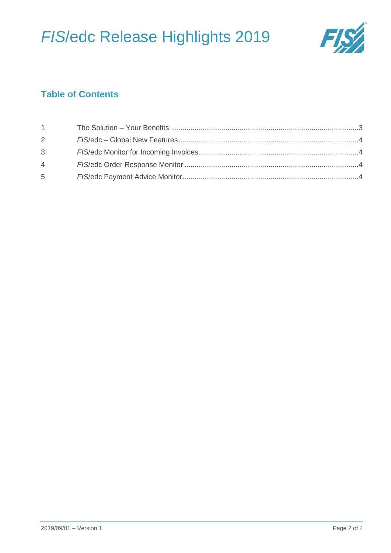

### **Table of Contents**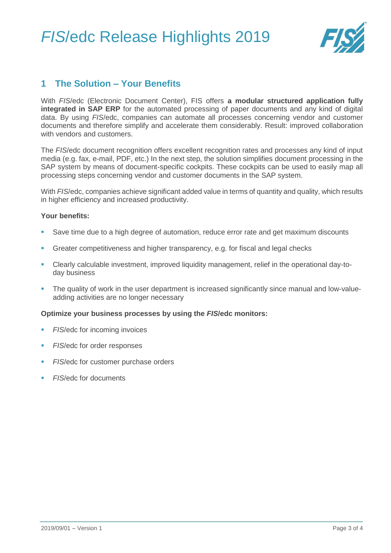

### <span id="page-2-0"></span>**1 The Solution – Your Benefits**

With *FIS*/edc (Electronic Document Center), FIS offers **a modular structured application fully integrated in SAP ERP** for the automated processing of paper documents and any kind of digital data. By using *FIS*/edc, companies can automate all processes concerning vendor and customer documents and therefore simplify and accelerate them considerably. Result: improved collaboration with vendors and customers.

The *FIS*/edc [document recognition](http://fis-gmbh.de/dokumentenerkennung.html) offers excellent recognition rates and processes any kind of input media (e.g. fax, e-mail, PDF, etc.) In the next step, the solution simplifies [document processing i](http://fis-gmbh.de/belegverarbeitung-sap.html)n the SAP system by means of document-specific cockpits. These cockpits can be used to easily map all processing steps concerning vendor and customer documents in the SAP system.

With *FIS*/edc, companies achieve significant added value in terms of quantity and quality, which results in higher efficiency and increased productivity.

#### **Your benefits:**

- Save time due to a high degree of automation, reduce error rate and get maximum discounts
- Greater competitiveness and higher transparency, e.g. for fiscal and legal checks
- Clearly calculable investment, improved liquidity management, relief in the operational day-today business
- The quality of work in the user department is increased significantly since manual and low-valueadding activities are no longer necessary

#### **Optimize your business processes by using the** *FIS***/edc monitors:**

- *FIS*[/edc for incoming invoices](http://fis-gmbh.de/eingangsrechnungen.html)
- *FIS*[/edc for order responses](http://fis-gmbh.de/auftrags-und-bestellbestaetigungsmonitor.html)
- *FIS*[/edc for customer purchase orders](http://fis-gmbh.de/kundenbestellungen.html)
- *FIS*[/edc for documents](http://fis-gmbh.de/dokumente.html)